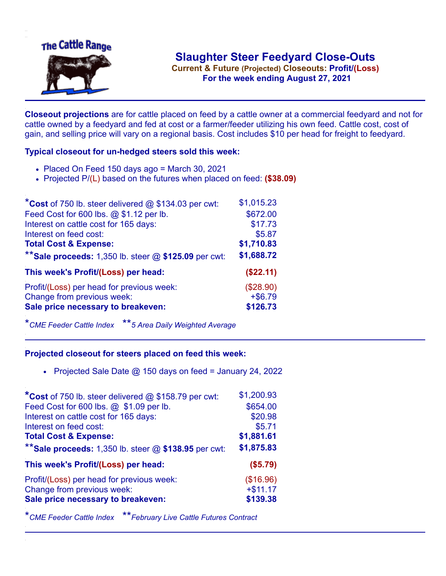

**Current & Future (Projected) Closeouts: Profit/(Loss)** .**For the week ending August 27, 2021**

**Closeout projections** are for cattle placed on feed by a cattle owner at a commercial feedyard and not for cattle owned by a feedyard and fed at cost or a farmer/feeder utilizing his own feed. Cattle cost, cost of gain, and selling price will vary on a regional basis. Cost includes \$10 per head for freight to feedyard.

## **Typical closeout for un-hedged steers sold this week:**

- $\bullet$  Placed On Feed 150 days ago = March 30, 2021
- Projected P/(L) based on the futures when placed on feed: **(\$38.09)**

| *Cost of 750 lb. steer delivered $@$ \$134.03 per cwt:  | \$1,015.23 |
|---------------------------------------------------------|------------|
| Feed Cost for 600 lbs. @ \$1.12 per lb.                 | \$672.00   |
| Interest on cattle cost for 165 days:                   | \$17.73    |
| Interest on feed cost:                                  | \$5.87     |
| <b>Total Cost &amp; Expense:</b>                        | \$1,710.83 |
| ** Sale proceeds: 1,350 lb. steer $@$ \$125.09 per cwt: | \$1,688.72 |
| This week's Profit/(Loss) per head:                     | (\$22.11)  |
| Profit/(Loss) per head for previous week:               | (\$28.90)  |
| Change from previous week:                              | $+ $6.79$  |
| Sale price necessary to breakeven:                      | \$126.73   |
|                                                         |            |

\**CME Feeder Cattle Index* \*\**5 Area Daily Weighted Average*

## **Projected closeout for steers placed on feed this week:**

• Projected Sale Date  $@$  150 days on feed = January 24, 2022

| *Cost of 750 lb. steer delivered @ \$158.79 per cwt:    | \$1,200.93 |
|---------------------------------------------------------|------------|
| Feed Cost for 600 lbs. @ \$1.09 per lb.                 | \$654.00   |
| Interest on cattle cost for 165 days:                   | \$20.98    |
| Interest on feed cost:                                  | \$5.71     |
| <b>Total Cost &amp; Expense:</b>                        | \$1,881.61 |
| ** Sale proceeds: 1,350 lb. steer $@$ \$138.95 per cwt: | \$1,875.83 |
| This week's Profit/(Loss) per head:                     | (\$5.79)   |
| Profit/(Loss) per head for previous week:               | (\$16.96)  |
|                                                         |            |
| Change from previous week:                              | $+ $11.17$ |
| Sale price necessary to breakeven:                      | \$139.38   |

\**CME Feeder Cattle Index* \*\**February Live Cattle Futures Contract*